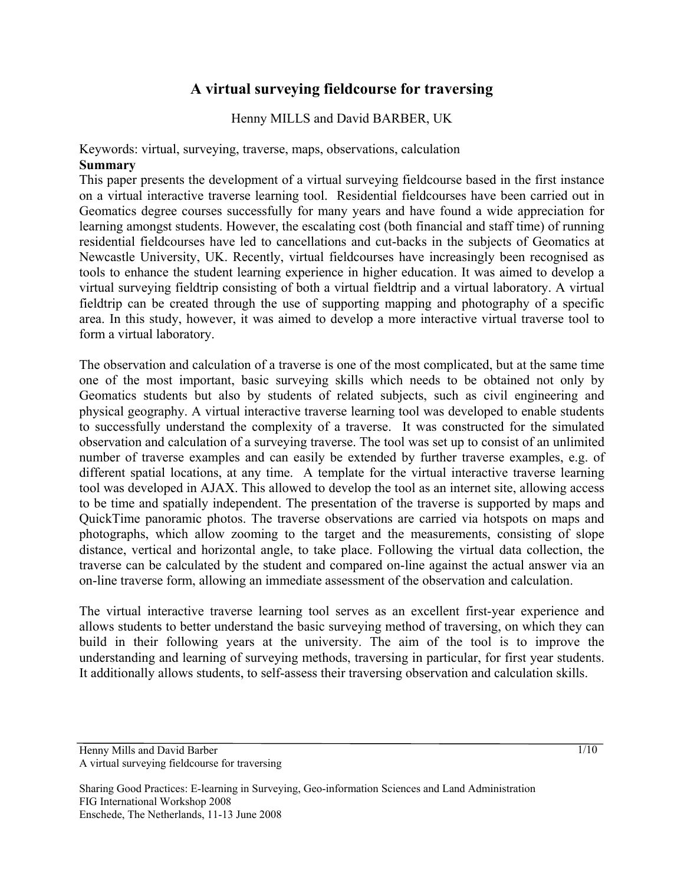# **A virtual surveying fieldcourse for traversing**

Henny MILLS and David BARBER, UK

#### Keywords: virtual, surveying, traverse, maps, observations, calculation **Summary**

This paper presents the development of a virtual surveying fieldcourse based in the first instance on a virtual interactive traverse learning tool. Residential fieldcourses have been carried out in Geomatics degree courses successfully for many years and have found a wide appreciation for learning amongst students. However, the escalating cost (both financial and staff time) of running residential fieldcourses have led to cancellations and cut-backs in the subjects of Geomatics at Newcastle University, UK. Recently, virtual fieldcourses have increasingly been recognised as tools to enhance the student learning experience in higher education. It was aimed to develop a virtual surveying fieldtrip consisting of both a virtual fieldtrip and a virtual laboratory. A virtual fieldtrip can be created through the use of supporting mapping and photography of a specific area. In this study, however, it was aimed to develop a more interactive virtual traverse tool to form a virtual laboratory.

The observation and calculation of a traverse is one of the most complicated, but at the same time one of the most important, basic surveying skills which needs to be obtained not only by Geomatics students but also by students of related subjects, such as civil engineering and physical geography. A virtual interactive traverse learning tool was developed to enable students to successfully understand the complexity of a traverse. It was constructed for the simulated observation and calculation of a surveying traverse. The tool was set up to consist of an unlimited number of traverse examples and can easily be extended by further traverse examples, e.g. of different spatial locations, at any time. A template for the virtual interactive traverse learning tool was developed in AJAX. This allowed to develop the tool as an internet site, allowing access to be time and spatially independent. The presentation of the traverse is supported by maps and QuickTime panoramic photos. The traverse observations are carried via hotspots on maps and photographs, which allow zooming to the target and the measurements, consisting of slope distance, vertical and horizontal angle, to take place. Following the virtual data collection, the traverse can be calculated by the student and compared on-line against the actual answer via an on-line traverse form, allowing an immediate assessment of the observation and calculation.

The virtual interactive traverse learning tool serves as an excellent first-year experience and allows students to better understand the basic surveying method of traversing, on which they can build in their following years at the university. The aim of the tool is to improve the understanding and learning of surveying methods, traversing in particular, for first year students. It additionally allows students, to self-assess their traversing observation and calculation skills.

Henny Mills and David Barber A virtual surveying fieldcourse for traversing

Sharing Good Practices: E-learning in Surveying, Geo-information Sciences and Land Administration FIG International Workshop 2008 Enschede, The Netherlands, 11-13 June 2008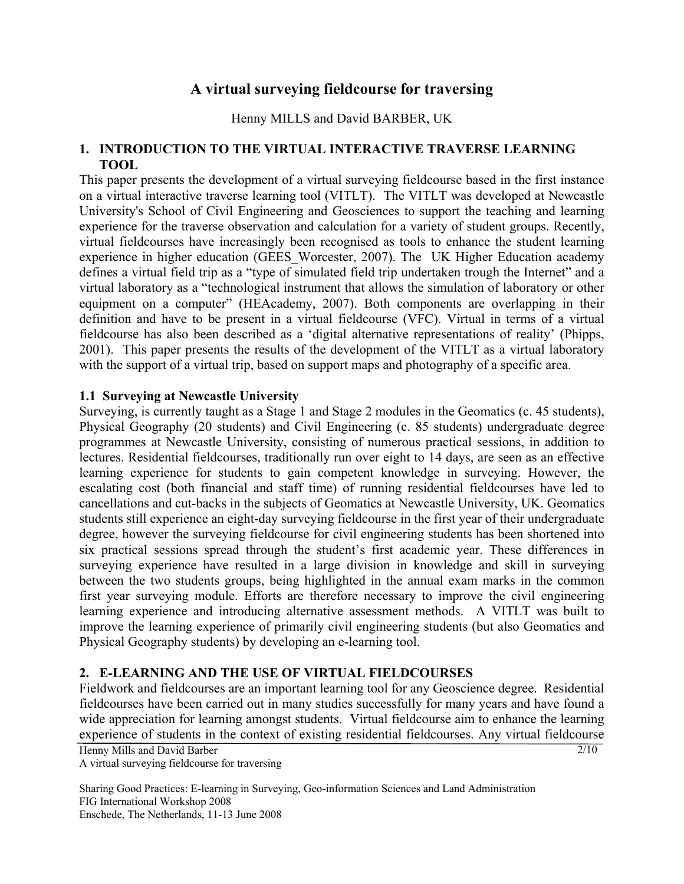## **A virtual surveying fieldcourse for traversing**

Henny MILLS and David BARBER, UK

### **1. INTRODUCTION TO THE VIRTUAL INTERACTIVE TRAVERSE LEARNING TOOL**

This paper presents the development of a virtual surveying fieldcourse based in the first instance on a virtual interactive traverse learning tool (VITLT). The VITLT was developed at Newcastle University's School of Civil Engineering and Geosciences to support the teaching and learning experience for the traverse observation and calculation for a variety of student groups. Recently, virtual fieldcourses have increasingly been recognised as tools to enhance the student learning experience in higher education (GEES\_Worcester, 2007). The UK Higher Education academy defines a virtual field trip as a "type of simulated field trip undertaken trough the Internet" and a virtual laboratory as a "technological instrument that allows the simulation of laboratory or other equipment on a computer" (HEAcademy, 2007). Both components are overlapping in their definition and have to be present in a virtual fieldcourse (VFC). Virtual in terms of a virtual fieldcourse has also been described as a 'digital alternative representations of reality' (Phipps, 2001). This paper presents the results of the development of the VITLT as a virtual laboratory with the support of a virtual trip, based on support maps and photography of a specific area.

#### **1.1 Surveying at Newcastle University**

Surveying, is currently taught as a Stage 1 and Stage 2 modules in the Geomatics (c. 45 students), Physical Geography (20 students) and Civil Engineering (c. 85 students) undergraduate degree programmes at Newcastle University, consisting of numerous practical sessions, in addition to lectures. Residential fieldcourses, traditionally run over eight to 14 days, are seen as an effective learning experience for students to gain competent knowledge in surveying. However, the escalating cost (both financial and staff time) of running residential fieldcourses have led to cancellations and cut-backs in the subjects of Geomatics at Newcastle University, UK. Geomatics students still experience an eight-day surveying fieldcourse in the first year of their undergraduate degree, however the surveying fieldcourse for civil engineering students has been shortened into six practical sessions spread through the student's first academic year. These differences in surveying experience have resulted in a large division in knowledge and skill in surveying between the two students groups, being highlighted in the annual exam marks in the common first year surveying module. Efforts are therefore necessary to improve the civil engineering learning experience and introducing alternative assessment methods. A VITLT was built to improve the learning experience of primarily civil engineering students (but also Geomatics and Physical Geography students) by developing an e-learning tool.

#### **2. E-LEARNING AND THE USE OF VIRTUAL FIELDCOURSES**

 $\frac{2}{10}$ Fieldwork and fieldcourses are an important learning tool for any Geoscience degree. Residential fieldcourses have been carried out in many studies successfully for many years and have found a wide appreciation for learning amongst students. Virtual fieldcourse aim to enhance the learning experience of students in the context of existing residential fieldcourses. Any virtual fieldcourse

Henny Mills and David Barber A virtual surveying fieldcourse for traversing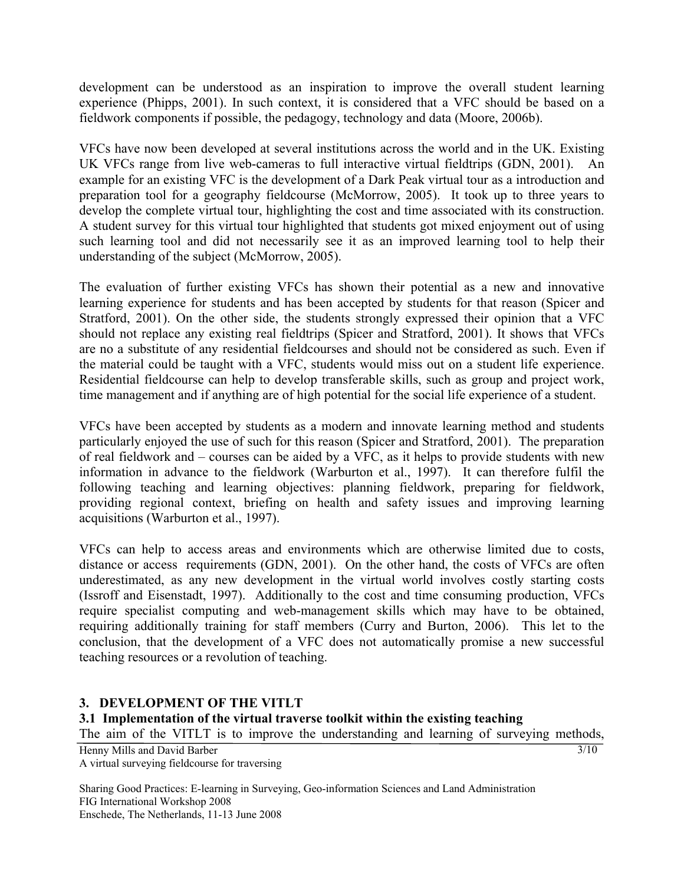development can be understood as an inspiration to improve the overall student learning experience (Phipps, 2001). In such context, it is considered that a VFC should be based on a fieldwork components if possible, the pedagogy, technology and data (Moore, 2006b).

VFCs have now been developed at several institutions across the world and in the UK. Existing UK VFCs range from live web-cameras to full interactive virtual fieldtrips (GDN, 2001). An example for an existing VFC is the development of a Dark Peak virtual tour as a introduction and preparation tool for a geography fieldcourse (McMorrow, 2005). It took up to three years to develop the complete virtual tour, highlighting the cost and time associated with its construction. A student survey for this virtual tour highlighted that students got mixed enjoyment out of using such learning tool and did not necessarily see it as an improved learning tool to help their understanding of the subject (McMorrow, 2005).

The evaluation of further existing VFCs has shown their potential as a new and innovative learning experience for students and has been accepted by students for that reason (Spicer and Stratford, 2001). On the other side, the students strongly expressed their opinion that a VFC should not replace any existing real fieldtrips (Spicer and Stratford, 2001). It shows that VFCs are no a substitute of any residential fieldcourses and should not be considered as such. Even if the material could be taught with a VFC, students would miss out on a student life experience. Residential fieldcourse can help to develop transferable skills, such as group and project work, time management and if anything are of high potential for the social life experience of a student.

VFCs have been accepted by students as a modern and innovate learning method and students particularly enjoyed the use of such for this reason (Spicer and Stratford, 2001). The preparation of real fieldwork and – courses can be aided by a VFC, as it helps to provide students with new information in advance to the fieldwork (Warburton et al., 1997). It can therefore fulfil the following teaching and learning objectives: planning fieldwork, preparing for fieldwork, providing regional context, briefing on health and safety issues and improving learning acquisitions (Warburton et al., 1997).

VFCs can help to access areas and environments which are otherwise limited due to costs, distance or access requirements (GDN, 2001). On the other hand, the costs of VFCs are often underestimated, as any new development in the virtual world involves costly starting costs (Issroff and Eisenstadt, 1997). Additionally to the cost and time consuming production, VFCs require specialist computing and web-management skills which may have to be obtained, requiring additionally training for staff members (Curry and Burton, 2006). This let to the conclusion, that the development of a VFC does not automatically promise a new successful teaching resources or a revolution of teaching.

#### **3. DEVELOPMENT OF THE VITLT**

#### **3.1 Implementation of the virtual traverse toolkit within the existing teaching**

The aim of the VITLT is to improve the understanding and learning of surveying methods,

Henny Mills and David Barber A virtual surveying fieldcourse for traversing

Sharing Good Practices: E-learning in Surveying, Geo-information Sciences and Land Administration FIG International Workshop 2008 Enschede, The Netherlands, 11-13 June 2008

 $\frac{3}{10}$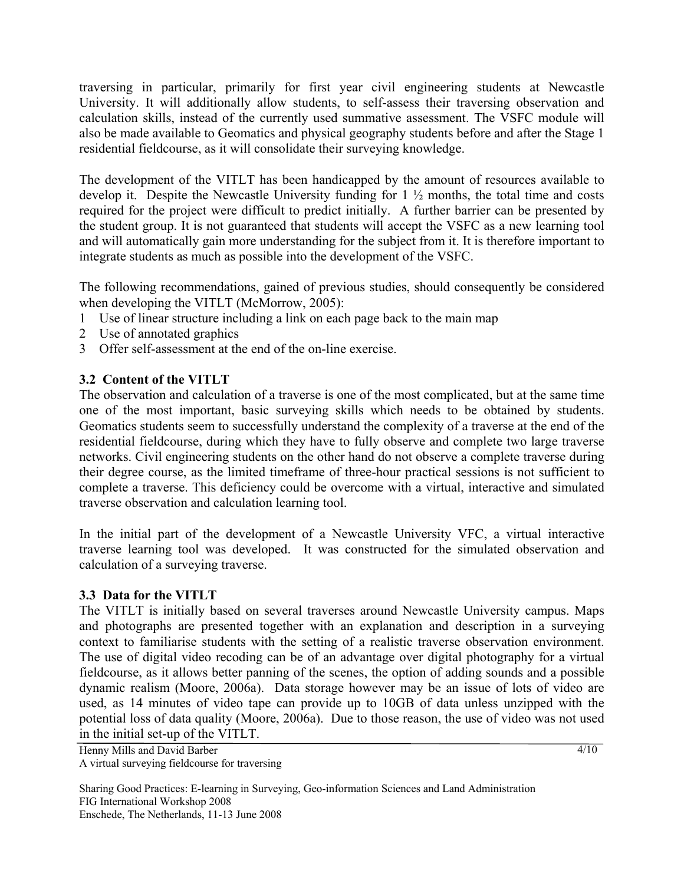traversing in particular, primarily for first year civil engineering students at Newcastle University. It will additionally allow students, to self-assess their traversing observation and calculation skills, instead of the currently used summative assessment. The VSFC module will also be made available to Geomatics and physical geography students before and after the Stage 1 residential fieldcourse, as it will consolidate their surveying knowledge.

The development of the VITLT has been handicapped by the amount of resources available to develop it. Despite the Newcastle University funding for 1 ½ months, the total time and costs required for the project were difficult to predict initially. A further barrier can be presented by the student group. It is not guaranteed that students will accept the VSFC as a new learning tool and will automatically gain more understanding for the subject from it. It is therefore important to integrate students as much as possible into the development of the VSFC.

The following recommendations, gained of previous studies, should consequently be considered when developing the VITLT (McMorrow, 2005):

- 1 Use of linear structure including a link on each page back to the main map
- 2 Use of annotated graphics
- 3 Offer self-assessment at the end of the on-line exercise.

### **3.2 Content of the VITLT**

The observation and calculation of a traverse is one of the most complicated, but at the same time one of the most important, basic surveying skills which needs to be obtained by students. Geomatics students seem to successfully understand the complexity of a traverse at the end of the residential fieldcourse, during which they have to fully observe and complete two large traverse networks. Civil engineering students on the other hand do not observe a complete traverse during their degree course, as the limited timeframe of three-hour practical sessions is not sufficient to complete a traverse. This deficiency could be overcome with a virtual, interactive and simulated traverse observation and calculation learning tool.

In the initial part of the development of a Newcastle University VFC, a virtual interactive traverse learning tool was developed. It was constructed for the simulated observation and calculation of a surveying traverse.

#### **3.3 Data for the VITLT**

The VITLT is initially based on several traverses around Newcastle University campus. Maps and photographs are presented together with an explanation and description in a surveying context to familiarise students with the setting of a realistic traverse observation environment. The use of digital video recoding can be of an advantage over digital photography for a virtual fieldcourse, as it allows better panning of the scenes, the option of adding sounds and a possible dynamic realism (Moore, 2006a). Data storage however may be an issue of lots of video are used, as 14 minutes of video tape can provide up to 10GB of data unless unzipped with the potential loss of data quality (Moore, 2006a). Due to those reason, the use of video was not used in the initial set-up of the VITLT.

Henny Mills and David Barber A virtual surveying fieldcourse for traversing  $\frac{4}{10}$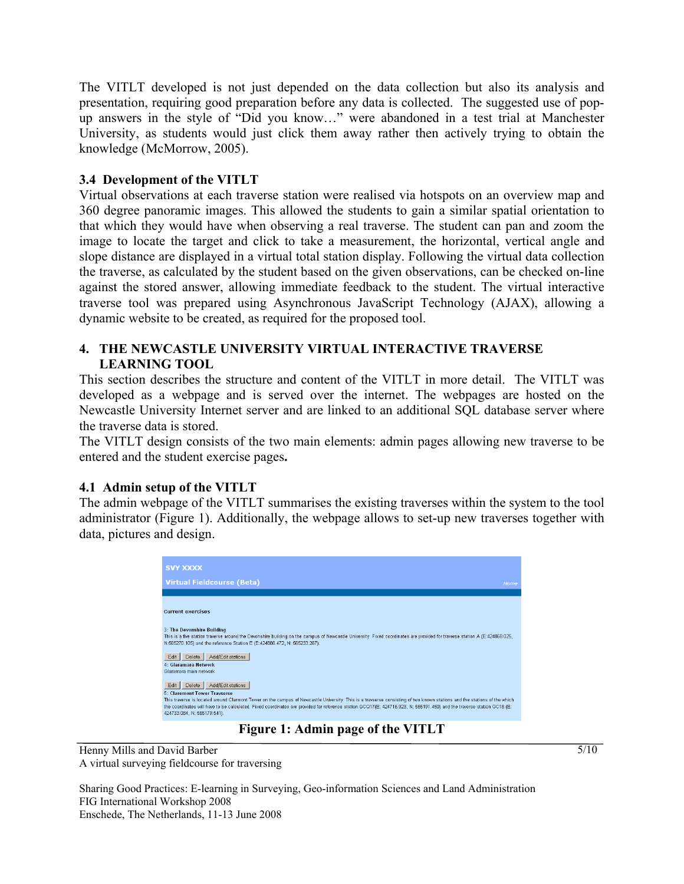The VITLT developed is not just depended on the data collection but also its analysis and presentation, requiring good preparation before any data is collected. The suggested use of popup answers in the style of "Did you know…" were abandoned in a test trial at Manchester University, as students would just click them away rather then actively trying to obtain the knowledge (McMorrow, 2005).

#### **3.4 Development of the VITLT**

Virtual observations at each traverse station were realised via hotspots on an overview map and 360 degree panoramic images. This allowed the students to gain a similar spatial orientation to that which they would have when observing a real traverse. The student can pan and zoom the image to locate the target and click to take a measurement, the horizontal, vertical angle and slope distance are displayed in a virtual total station display. Following the virtual data collection the traverse, as calculated by the student based on the given observations, can be checked on-line against the stored answer, allowing immediate feedback to the student. The virtual interactive traverse tool was prepared using Asynchronous JavaScript Technology (AJAX), allowing a dynamic website to be created, as required for the proposed tool.

### **4. THE NEWCASTLE UNIVERSITY VIRTUAL INTERACTIVE TRAVERSE LEARNING TOOL**

This section describes the structure and content of the VITLT in more detail. The VITLT was developed as a webpage and is served over the internet. The webpages are hosted on the Newcastle University Internet server and are linked to an additional SQL database server where the traverse data is stored.

The VITLT design consists of the two main elements: admin pages allowing new traverse to be entered and the student exercise pages**.** 

#### **4.1 Admin setup of the VITLT**

The admin webpage of the VITLT summarises the existing traverses within the system to the tool administrator ([Figure 1\)](#page-4-0). Additionally, the webpage allows to set-up new traverses together with data, pictures and design.

| <b>SVY XXXX</b>                                                                                                                                                                                                                                                                                                                                                                                                                                           |
|-----------------------------------------------------------------------------------------------------------------------------------------------------------------------------------------------------------------------------------------------------------------------------------------------------------------------------------------------------------------------------------------------------------------------------------------------------------|
| <b>Virtual Fieldcourse (Beta)</b><br>Home                                                                                                                                                                                                                                                                                                                                                                                                                 |
|                                                                                                                                                                                                                                                                                                                                                                                                                                                           |
| <b>Current exercises</b>                                                                                                                                                                                                                                                                                                                                                                                                                                  |
| 3: The Devonshire Building<br>This is a five station traverse around the Devonshire building on the campus of Newcastle University. Fixed coordinates are provided for traverse station A (E:424868.025,<br>N:565270.105) and the reference Station E (E:424886.472, N: 565233.267).<br>Add/Edit stations<br>Delete<br>Edit<br>4: Glaramara Network<br>Glaramara main network                                                                             |
| Add/Edit stations<br>Delete<br>Edit<br>5: Claremont Tower Trayserse<br>This traverse is located around Clarmont Tower on the campus of Newcastle University. This is a travserse consisting of two known stations and five stations of the which<br>the coordinates will have to be calculated. Fixed coordinates are provided for reference station GCQ17(E: 424716.923, N: 565191.450) and the traverse station GC18 (E:<br>424733.084, N: 565179.541). |

**Figure 1: Admin page of the VITLT** 

<span id="page-4-0"></span>Henny Mills and David Barber A virtual surveying fieldcourse for traversing

Sharing Good Practices: E-learning in Surveying, Geo-information Sciences and Land Administration FIG International Workshop 2008 Enschede, The Netherlands, 11-13 June 2008

 $\frac{5}{10}$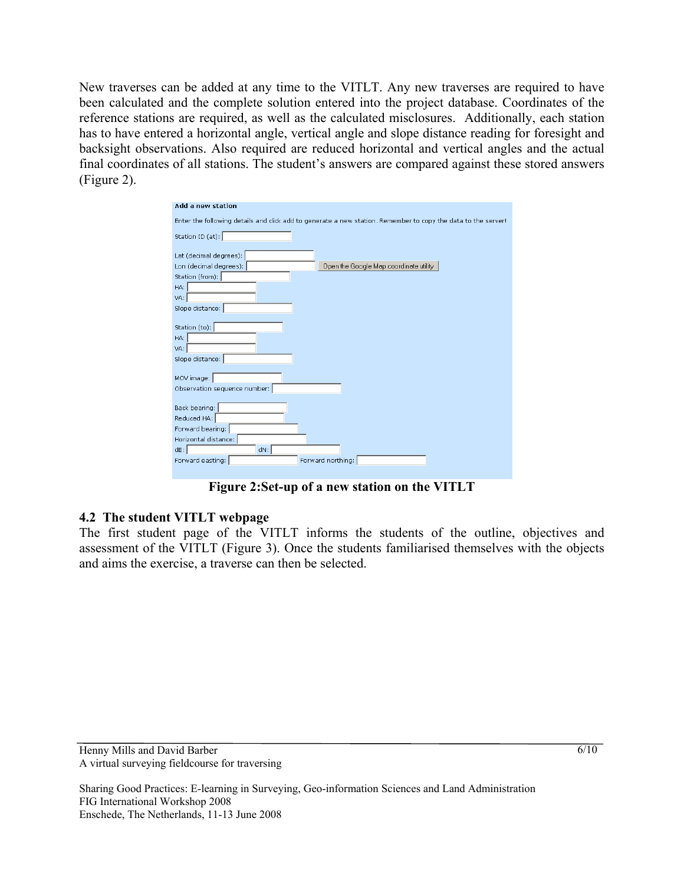New traverses can be added at any time to the VITLT. Any new traverses are required to have been calculated and the complete solution entered into the project database. Coordinates of the reference stations are required, as well as the calculated misclosures. Additionally, each station has to have entered a horizontal angle, vertical angle and slope distance reading for foresight and backsight observations. Also required are reduced horizontal and vertical angles and the actual final coordinates of all stations. The student's answers are compared against these stored answers ([Figure 2](#page-5-0)).

| Add a new station            |                                                                                                             |
|------------------------------|-------------------------------------------------------------------------------------------------------------|
|                              | Enter the following details and click add to generate a new station. Remember to copy the data to the serve |
|                              |                                                                                                             |
| Station ID (at):             |                                                                                                             |
| Lat (decimal degrees):       |                                                                                                             |
| Lon (decimal degrees):       | Open the Google Map coordinate utility                                                                      |
| Station (from):              |                                                                                                             |
| HA:                          |                                                                                                             |
| VA:                          |                                                                                                             |
| Slope distance:              |                                                                                                             |
|                              |                                                                                                             |
| Station (to):                |                                                                                                             |
| HA:                          |                                                                                                             |
| VA:                          |                                                                                                             |
| Slope distance:              |                                                                                                             |
|                              |                                                                                                             |
| MOV image:                   |                                                                                                             |
| Observation sequence number: |                                                                                                             |
| Back bearing:                |                                                                                                             |
| Reduced HA:                  |                                                                                                             |
| Forward bearing:             |                                                                                                             |
| Horizontal distance:         |                                                                                                             |
| $dE$ :<br>dN:                |                                                                                                             |
| Forward easting:             | Forward northing:                                                                                           |
|                              |                                                                                                             |

**Figure 2:Set-up of a new station on the VITLT** 

#### <span id="page-5-0"></span>**4.2 The student VITLT webpage**

The first student page of the VITLT informs the students of the outline, objectives and assessment of the VITLT ([Figure 3\)](#page-6-0). Once the students familiarised themselves with the objects and aims the exercise, a traverse can then be selected.

Sharing Good Practices: E-learning in Surveying, Geo-information Sciences and Land Administration FIG International Workshop 2008 Enschede, The Netherlands, 11-13 June 2008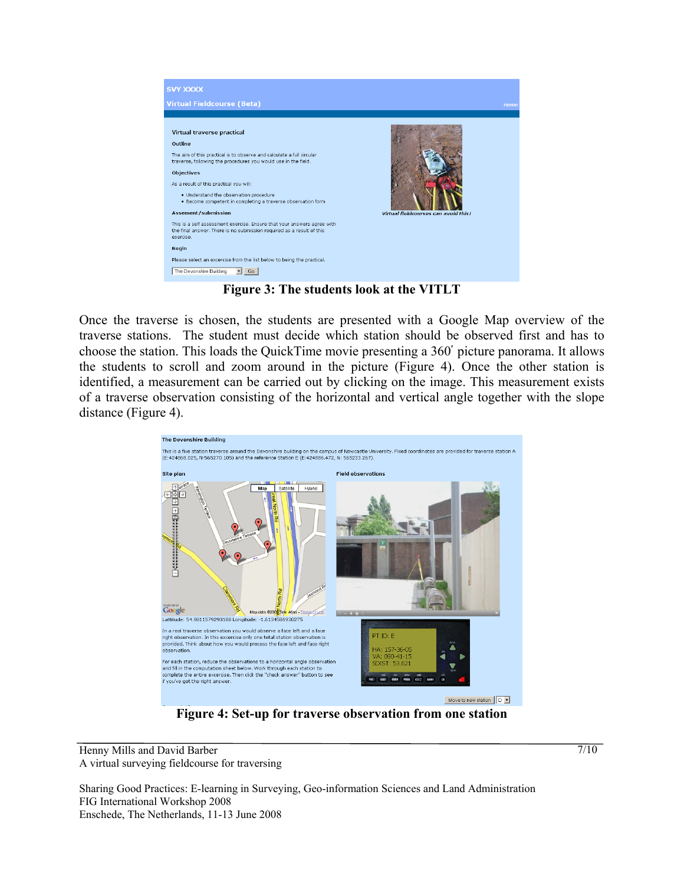

**Figure 3: The students look at the VITLT** 

<span id="page-6-0"></span>Once the traverse is chosen, the students are presented with a Google Map overview of the traverse stations. The student must decide which station should be observed first and has to choose the station. This loads the QuickTime movie presenting a 360ْ picture panorama. It allows the students to scroll and zoom around in the picture [\(Figure 4\)](#page-6-1). Once the other station is identified, a measurement can be carried out by clicking on the image. This measurement exists of a traverse observation consisting of the horizontal and vertical angle together with the slope distance [\(Figure 4\)](#page-6-1).



**Figure 4: Set-up for traverse observation from one station** 

<span id="page-6-1"></span>Henny Mills and David Barber A virtual surveying fieldcourse for traversing

Sharing Good Practices: E-learning in Surveying, Geo-information Sciences and Land Administration FIG International Workshop 2008 Enschede, The Netherlands, 11-13 June 2008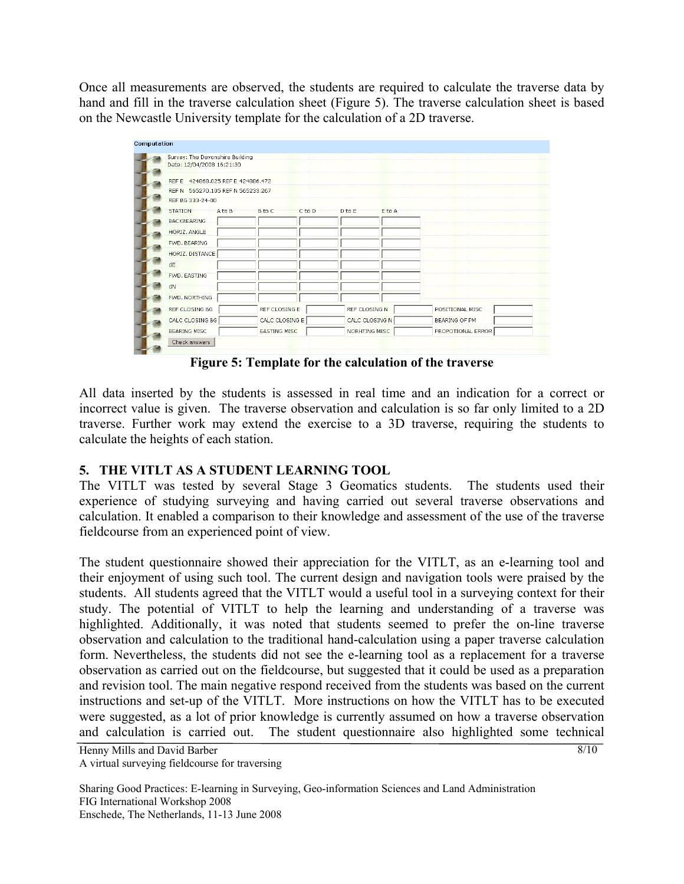Once all measurements are observed, the students are required to calculate the traverse data by hand and fill in the traverse calculation sheet [\(Figure 5](#page-7-0)). The traverse calculation sheet is based on the Newcastle University template for the calculation of a 2D traverse.



**Figure 5: Template for the calculation of the traverse** 

<span id="page-7-0"></span>All data inserted by the students is assessed in real time and an indication for a correct or incorrect value is given. The traverse observation and calculation is so far only limited to a 2D traverse. Further work may extend the exercise to a 3D traverse, requiring the students to calculate the heights of each station.

## **5. THE VITLT AS A STUDENT LEARNING TOOL**

The VITLT was tested by several Stage 3 Geomatics students. The students used their experience of studying surveying and having carried out several traverse observations and calculation. It enabled a comparison to their knowledge and assessment of the use of the traverse fieldcourse from an experienced point of view.

The student questionnaire showed their appreciation for the VITLT, as an e-learning tool and their enjoyment of using such tool. The current design and navigation tools were praised by the students. All students agreed that the VITLT would a useful tool in a surveying context for their study. The potential of VITLT to help the learning and understanding of a traverse was highlighted. Additionally, it was noted that students seemed to prefer the on-line traverse observation and calculation to the traditional hand-calculation using a paper traverse calculation form. Nevertheless, the students did not see the e-learning tool as a replacement for a traverse observation as carried out on the fieldcourse, but suggested that it could be used as a preparation and revision tool. The main negative respond received from the students was based on the current instructions and set-up of the VITLT. More instructions on how the VITLT has to be executed were suggested, as a lot of prior knowledge is currently assumed on how a traverse observation and calculation is carried out. The student questionnaire also highlighted some technical

Henny Mills and David Barber A virtual surveying fieldcourse for traversing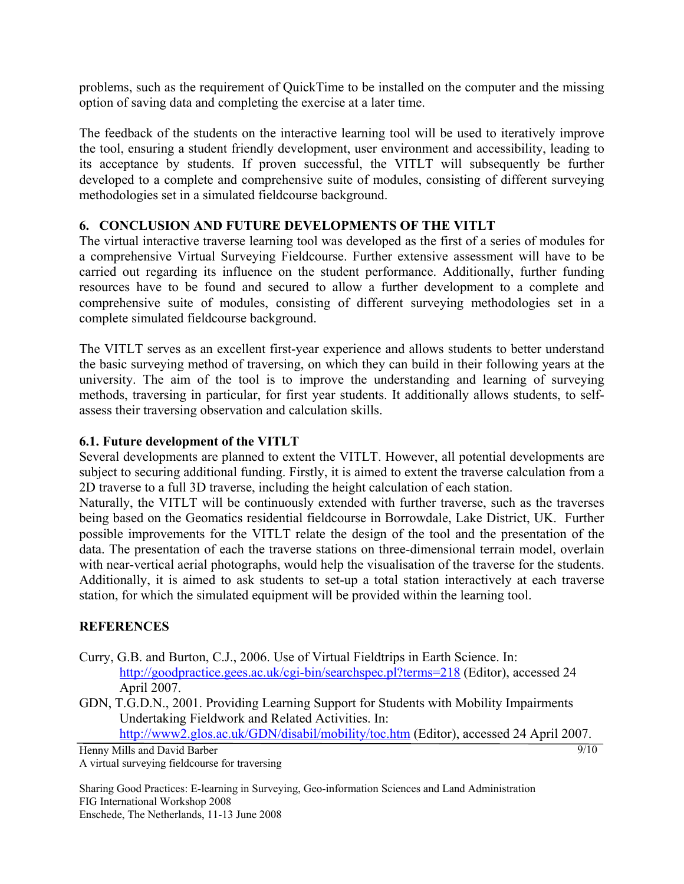problems, such as the requirement of QuickTime to be installed on the computer and the missing option of saving data and completing the exercise at a later time.

The feedback of the students on the interactive learning tool will be used to iteratively improve the tool, ensuring a student friendly development, user environment and accessibility, leading to its acceptance by students. If proven successful, the VITLT will subsequently be further developed to a complete and comprehensive suite of modules, consisting of different surveying methodologies set in a simulated fieldcourse background.

#### **6. CONCLUSION AND FUTURE DEVELOPMENTS OF THE VITLT**

The virtual interactive traverse learning tool was developed as the first of a series of modules for a comprehensive Virtual Surveying Fieldcourse. Further extensive assessment will have to be carried out regarding its influence on the student performance. Additionally, further funding resources have to be found and secured to allow a further development to a complete and comprehensive suite of modules, consisting of different surveying methodologies set in a complete simulated fieldcourse background.

The VITLT serves as an excellent first-year experience and allows students to better understand the basic surveying method of traversing, on which they can build in their following years at the university. The aim of the tool is to improve the understanding and learning of surveying methods, traversing in particular, for first year students. It additionally allows students, to selfassess their traversing observation and calculation skills.

### **6.1. Future development of the VITLT**

Several developments are planned to extent the VITLT. However, all potential developments are subject to securing additional funding. Firstly, it is aimed to extent the traverse calculation from a 2D traverse to a full 3D traverse, including the height calculation of each station.

Naturally, the VITLT will be continuously extended with further traverse, such as the traverses being based on the Geomatics residential fieldcourse in Borrowdale, Lake District, UK. Further possible improvements for the VITLT relate the design of the tool and the presentation of the data. The presentation of each the traverse stations on three-dimensional terrain model, overlain with near-vertical aerial photographs, would help the visualisation of the traverse for the students. Additionally, it is aimed to ask students to set-up a total station interactively at each traverse station, for which the simulated equipment will be provided within the learning tool.

## **REFERENCES**

- Curry, G.B. and Burton, C.J., 2006. Use of Virtual Fieldtrips in Earth Science. In: <http://goodpractice.gees.ac.uk/cgi-bin/searchspec.pl?terms=218> (Editor), accessed 24 April 2007.
- GDN, T.G.D.N., 2001. Providing Learning Support for Students with Mobility Impairments Undertaking Fieldwork and Related Activities. In:

 $\frac{9}{10}$ <http://www2.glos.ac.uk/GDN/disabil/mobility/toc.htm>(Editor), accessed 24 April 2007.

Henny Mills and David Barber A virtual surveying fieldcourse for traversing

Sharing Good Practices: E-learning in Surveying, Geo-information Sciences and Land Administration FIG International Workshop 2008 Enschede, The Netherlands, 11-13 June 2008